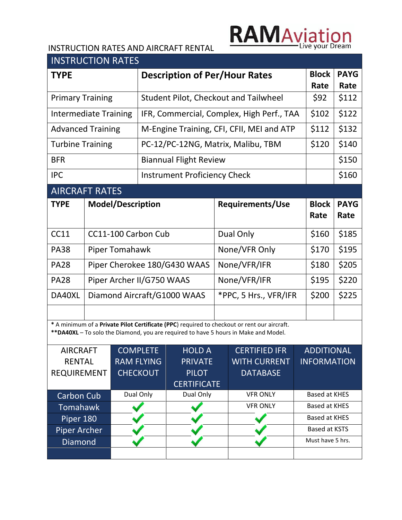## **RAMAviation**

## INSTRUCTION RATES AND AIRCRAFT RENTAL

| <b>INSTRUCTION RATES</b>     |                           |                                              |                                     |                    |                      |                                                                                                                                                                                    |                      |                      |                    |
|------------------------------|---------------------------|----------------------------------------------|-------------------------------------|--------------------|----------------------|------------------------------------------------------------------------------------------------------------------------------------------------------------------------------------|----------------------|----------------------|--------------------|
| <b>TYPE</b>                  |                           | <b>Description of Per/Hour Rates</b>         |                                     |                    |                      |                                                                                                                                                                                    | <b>Block</b><br>Rate | <b>PAYG</b><br>Rate  |                    |
| <b>Primary Training</b>      |                           | <b>Student Pilot, Checkout and Tailwheel</b> |                                     |                    |                      |                                                                                                                                                                                    | \$92                 | \$112                |                    |
| <b>Intermediate Training</b> |                           | IFR, Commercial, Complex, High Perf., TAA    |                                     |                    |                      |                                                                                                                                                                                    | \$102                | \$122                |                    |
| <b>Advanced Training</b>     |                           | M-Engine Training, CFI, CFII, MEI and ATP    |                                     |                    |                      |                                                                                                                                                                                    | \$112                | \$132                |                    |
| <b>Turbine Training</b>      |                           | PC-12/PC-12NG, Matrix, Malibu, TBM           |                                     |                    |                      |                                                                                                                                                                                    | \$120                | \$140                |                    |
| <b>BFR</b>                   |                           | <b>Biannual Flight Review</b>                |                                     |                    |                      |                                                                                                                                                                                    |                      | \$150                |                    |
| <b>IPC</b>                   |                           |                                              | <b>Instrument Proficiency Check</b> |                    |                      |                                                                                                                                                                                    |                      |                      | \$160              |
| <b>AIRCRAFT RATES</b>        |                           |                                              |                                     |                    |                      |                                                                                                                                                                                    |                      |                      |                    |
| <b>TYPE</b>                  |                           | <b>Model/Description</b>                     | <b>Requirements/Use</b>             |                    | <b>Block</b><br>Rate | <b>PAYG</b><br>Rate                                                                                                                                                                |                      |                      |                    |
| <b>CC11</b>                  | CC11-100 Carbon Cub       |                                              |                                     |                    |                      | Dual Only                                                                                                                                                                          |                      | \$160                | \$185              |
| <b>PA38</b>                  |                           | Piper Tomahawk                               |                                     |                    |                      | None/VFR Only                                                                                                                                                                      |                      | \$170                | \$195              |
| <b>PA28</b>                  |                           |                                              | Piper Cherokee 180/G430 WAAS        |                    |                      | None/VFR/IFR                                                                                                                                                                       |                      | \$180                | \$205              |
| <b>PA28</b>                  | Piper Archer II/G750 WAAS |                                              |                                     |                    | None/VFR/IFR         |                                                                                                                                                                                    |                      | \$195                | \$220              |
| DA40XL                       |                           |                                              | Diamond Aircraft/G1000 WAAS         |                    |                      | *PPC, 5 Hrs., VFR/IFR                                                                                                                                                              |                      |                      | \$225              |
|                              |                           |                                              |                                     |                    |                      |                                                                                                                                                                                    |                      |                      |                    |
|                              |                           |                                              |                                     |                    |                      | * A minimum of a Private Pilot Certificate (PPC) required to checkout or rent our aircraft.<br>**DA40XL - To solo the Diamond, you are required to have 5 hours in Make and Model. |                      |                      |                    |
| <b>AIRCRAFT</b>              |                           | <b>COMPLETE</b><br><b>HOLD A</b>             |                                     |                    | <b>CERTIFIED IFR</b> |                                                                                                                                                                                    | <b>ADDITIONAL</b>    |                      |                    |
| <b>RENTAL</b>                |                           |                                              | <b>RAM FLYING</b>                   | <b>PRIVATE</b>     |                      | <b>WITH CURRENT</b>                                                                                                                                                                |                      |                      | <b>INFORMATION</b> |
| <b>REQUIREMENT</b>           |                           |                                              | <b>CHECKOUT</b><br><b>PILOT</b>     |                    |                      | <b>DATABASE</b>                                                                                                                                                                    |                      |                      |                    |
|                              |                           |                                              |                                     | <b>CERTIFICATE</b> |                      |                                                                                                                                                                                    |                      |                      |                    |
| Carbon Cub                   |                           |                                              | Dual Only<br>Dual Only              |                    |                      | <b>VFR ONLY</b>                                                                                                                                                                    |                      | <b>Based at KHES</b> |                    |
| Tomahawk                     |                           |                                              |                                     |                    |                      | <b>VFR ONLY</b>                                                                                                                                                                    |                      | <b>Based at KHES</b> |                    |
| Piper 180                    |                           |                                              |                                     |                    |                      |                                                                                                                                                                                    | <b>Based at KHES</b> |                      |                    |
| <b>Piper Archer</b>          |                           |                                              |                                     |                    |                      |                                                                                                                                                                                    | Based at KSTS        |                      |                    |
| Diamond                      |                           |                                              |                                     |                    |                      |                                                                                                                                                                                    | Must have 5 hrs.     |                      |                    |